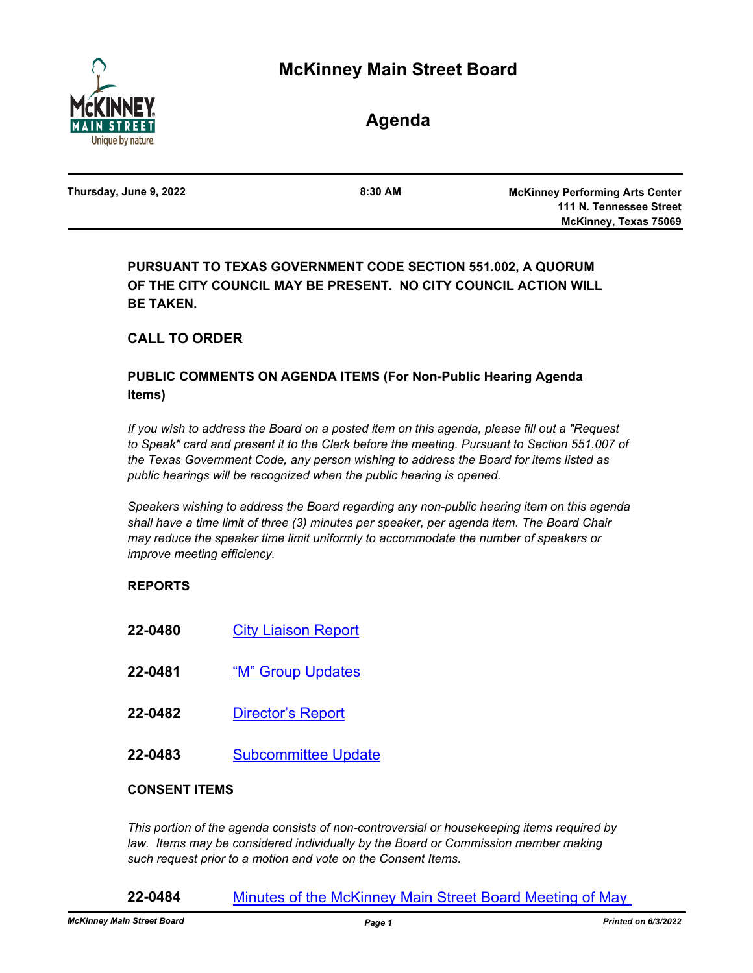

**Agenda**

| Thursday, June 9, 2022 | $8:30$ AM | <b>McKinney Performing Arts Center</b> |
|------------------------|-----------|----------------------------------------|
|                        |           | 111 N. Tennessee Street                |
|                        |           | McKinney, Texas 75069                  |
|                        |           |                                        |

**PURSUANT TO TEXAS GOVERNMENT CODE SECTION 551.002, A QUORUM OF THE CITY COUNCIL MAY BE PRESENT. NO CITY COUNCIL ACTION WILL BE TAKEN.**

# **CALL TO ORDER**

# **PUBLIC COMMENTS ON AGENDA ITEMS (For Non-Public Hearing Agenda Items)**

*If you wish to address the Board on a posted item on this agenda, please fill out a "Request*  to Speak" card and present it to the Clerk before the meeting. Pursuant to Section 551.007 of *the Texas Government Code, any person wishing to address the Board for items listed as public hearings will be recognized when the public hearing is opened.*

*Speakers wishing to address the Board regarding any non-public hearing item on this agenda shall have a time limit of three (3) minutes per speaker, per agenda item. The Board Chair may reduce the speaker time limit uniformly to accommodate the number of speakers or improve meeting efficiency.*

# **REPORTS**

- **22-0480** [City Liaison Report](http://mckinney.legistar.com/gateway.aspx?m=l&id=23901)
- **22-0481** ["M" Group Updates](http://mckinney.legistar.com/gateway.aspx?m=l&id=23903)
- **22-0482** [Director's Report](http://mckinney.legistar.com/gateway.aspx?m=l&id=23904)
- **22-0483** [Subcommittee Update](http://mckinney.legistar.com/gateway.aspx?m=l&id=23905)

## **CONSENT ITEMS**

*This portion of the agenda consists of non-controversial or housekeeping items required by*  law. Items may be considered individually by the Board or Commission member making *such request prior to a motion and vote on the Consent Items.*

## **22-0484** [Minutes of the McKinney Main Street Board Meeting of May](http://mckinney.legistar.com/gateway.aspx?m=l&id=23906)